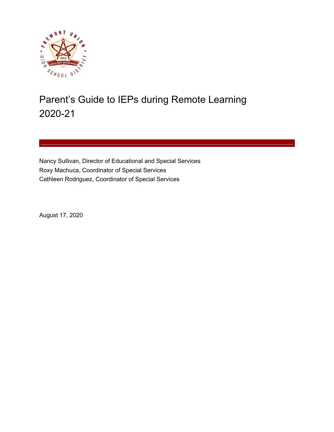

# Parent's Guide to IEPs during Remote Learning 2020-21

Nancy Sullivan, Director of Educational and Special Services Roxy Machuca, Coordinator of Special Services Cathleen Rodriguez, Coordinator of Special Services

August 17, 2020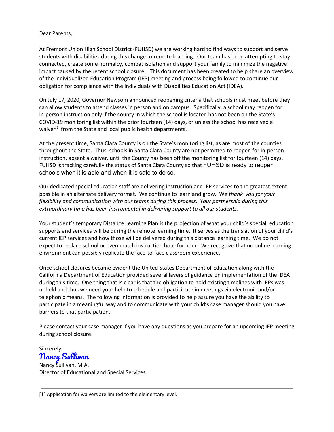Dear Parents,

At Fremont Union High School District (FUHSD) we are working hard to find ways to support and serve students with disabilities during this change to remote learning. Our team has been attempting to stay connected, create some normalcy, combat isolation and support your family to minimize the negative impact caused by the recent school closure. This document has been created to help share an overview of the Individualized Education Program (IEP) meeting and process being followed to continue our obligation for compliance with the Individuals with Disabilities Education Act (IDEA).

On July 17, 2020, Governor Newsom announced reopening criteria that schools must meet before they can allow students to attend classes in person and on campus. Specifically, a school may reopen for in-person instruction only if the county in which the school is located has not been on the State's COVID-19 monitoring list within the prior fourteen (14) days, or unless the school has received a waiver<sup>[1]</sup> from the State and local public health departments.

At the present time, Santa Clara County is on the State's monitoring list, as are most of the counties throughout the State. Thus, schools in Santa Clara County are not permitted to reopen for in-person instruction, absent a waiver, until the County has been off the monitoring list for fourteen (14) days. FUHSD is tracking carefully the status of Santa Clara County so that FUHSD is ready to reopen schools when it is able and when it is safe to do so.

Our dedicated special education staff are delivering instruction and IEP services to the greatest extent possible in an alternate delivery format. We continue to learn and grow. We *thank you for your flexibility and communication with our teams during this process*. *Your partnership during this extraordinary time has been instrumental in delivering support to all our students.*

Your student's temporary Distance Learning Plan is the projection of what your child's special education supports and services will be during the remote learning time. It serves as the translation of your child's current IEP services and how those will be delivered during this distance learning time. We do not expect to replace school or even match instruction hour for hour. We recognize that no online learning environment can possibly replicate the face-to-face classroom experience.

Once school closures became evident the United States Department of Education along with the California Department of Education provided several layers of guidance on implementation of the IDEA during this time. One thing that is clear is that the obligation to hold existing timelines with IEPs was upheld and thus we need your help to schedule and participate in meetings via electronic and/or telephonic means. The following information is provided to help assure you have the ability to participate in a meaningful way and to communicate with your child's case manager should you have barriers to that participation.

Please contact your case manager if you have any questions as you prepare for an upcoming IEP meeting during school closure.

Sincerely, Nancy Sullivan Nancy Sullivan, M.A. Director of Educational and Special Services

[1] Application for waivers are limited to the elementary level.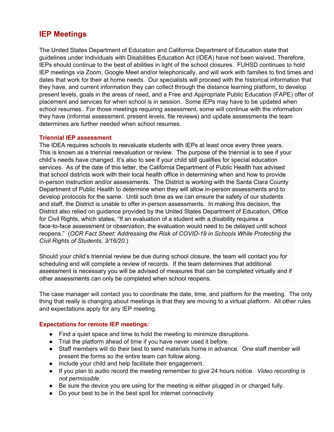### **IEP Meetings**

The United States Department of Education and California Department of Education state that guidelines under Individuals with Disabilities Education Act (IDEA) have not been waived. Therefore, IEPs should continue to the best of abilities in light of the school closures. FUHSD continues to hold IEP meetings via Zoom, Google Meet and/or telephonically, and will work with families to find times and dates that work for their at home needs. Our specialists will proceed with the historical information that they have, and current information they can collect through the distance learning platform, to develop present levels, goals in the areas of need, and a Free and Appropriate Public Education (FAPE) offer of placement and services for when school is in session. Some IEPs may have to be updated when school resumes. For those meetings requiring assessment, some will continue with the information they have (informal assessment, present levels, file reviews) and update assessments the team determines are further needed when school resumes.

#### **Triennial IEP assessment**

The IDEA requires schools to reevaluate students with IEPs at least once every three years. This is known as a triennial reevaluation or review. The purpose of the triennial is to see if your child's needs have changed. It's also to see if your child still qualifies for special education services. As of the date of this letter, the California Department of Public Health has advised that school districts work with their local health office in determining when and how to provide in-person instruction and/or assessments. The District is working with the Santa Clara County Department of Public Health to determine when they will allow in-person assessments and to develop protocols for the same. Until such time as we can ensure the safety of our students and staff, the District is unable to offer in-person assessments. In making this decision, the District also relied on guidance provided by the United States Department of Education, Office for Civil Rights, which states, "If an evaluation of a student with a disability requires a face-to-face assessment or observation, the evaluation would need to be delayed until school reopens." (*OCR Fact Sheet: Addressing the Risk of COVID-19 in Schools While Protecting the Civil Rights of Students, 3/16/20.*)

Should your child's triennial review be due during school closure, the team will contact you for scheduling and will complete a review of records. If the team determines that additional assessment is necessary you will be advised of measures that can be completed virtually and if other assessments can only be completed when school reopens.

The case manager will contact you to coordinate the date, time, and platform for the meeting. The only thing that really is changing about meetings is that they are moving to a virtual platform. All other rules and expectations apply for any IEP meeting.

#### **Expectations for remote IEP meetings:**

- Find a quiet space and time to hold the meeting to minimize disruptions.
- Trial the platform ahead of time if you have never used it before.
- Staff members will do their best to send materials home in advance. One staff member will present the forms so the entire team can follow along.
- Include your child and help facilitate their engagement.
- If you plan to audio record the meeting remember to give 24 hours notice. *Video recording is not permissible.*
- Be sure the device you are using for the meeting is either plugged in or charged fully.
- Do your best to be in the best spot for internet connectivity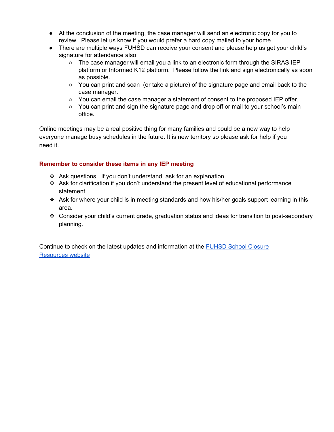- At the conclusion of the meeting, the case manager will send an electronic copy for you to review. Please let us know if you would prefer a hard copy mailed to your home.
- There are multiple ways FUHSD can receive your consent and please help us get your child's signature for attendance also:
	- $\circ$  The case manager will email you a link to an electronic form through the SIRAS IEP platform or Informed K12 platform. Please follow the link and sign electronically as soon as possible.
	- $\circ$  You can print and scan (or take a picture) of the signature page and email back to the case manager.
	- $\circ$  You can email the case manager a statement of consent to the proposed IEP offer.
	- $\circ$  You can print and sign the signature page and drop off or mail to your school's main office*.*

Online meetings may be a real positive thing for many families and could be a new way to help everyone manage busy schedules in the future. It is new territory so please ask for help if you need it.

#### **Remember to consider these items in any IEP meeting**

- ❖ Ask questions. If you don't understand, ask for an explanation.
- ❖ Ask for clarification if you don't understand the present level of educational performance statement.
- ❖ Ask for where your child is in meeting standards and how his/her goals support learning in this area.
- ❖ Consider your child's current grade, graduation status and ideas for transition to post-secondary planning.

Continue to check on the latest updates and information at the FUHSD School [Closure](https://www.fuhsd.org/newsroom/school-closure-resources) [Resources](https://www.fuhsd.org/newsroom/school-closure-resources) website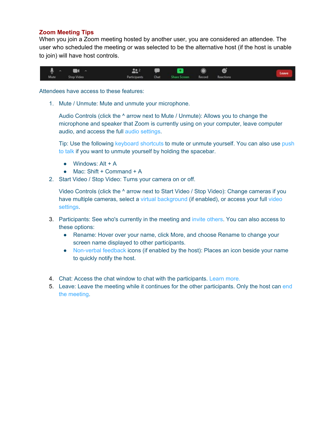#### **Zoom Meeting Tips**

When you join a Zoom meeting hosted by another user, you are considered an attendee. The user who scheduled the meeting or was selected to be the alternative host (if the host is unable to join) will have host controls.



Attendees have access to these features:

1. Mute / Unmute: Mute and unmute your microphone.

Audio Controls (click the ^ arrow next to Mute / Unmute): Allows you to change the microphone and speaker that Zoom is currently using on your computer, leave computer audio, and access the full [audio settings](https://support.zoom.us/hc/en-us/articles/201362623-About-Settings).

Tip: Use the following [keyboard shortcuts](https://support.zoom.us/hc/en-us/articles/205683899) to mute or unmute yourself. You can also use [push](https://support.zoom.us/hc/en-us/articles/360000510003) [to talk](https://support.zoom.us/hc/en-us/articles/360000510003) if you want to unmute yourself by holding the spacebar.

- $\bullet$  Windows: Alt + A
- $\bullet$  Mac: Shift + Command + A
- 2. Start Video / Stop Video: Turns your camera on or off.

Video Controls (click the ^ arrow next to Start Video / Stop Video): Change cameras if you have multiple cameras, select a [virtual background](https://support.zoom.us/hc/en-us/articles/210707503-Virtual-Background) (if enabled), or access your full [video](https://support.zoom.us/hc/en-us/articles/201362623-About-Settings) [settings](https://support.zoom.us/hc/en-us/articles/201362623-About-Settings).

- 3. Participants: See who's currently in the meeting and [invite others.](https://support.zoom.us/hc/en-us/articles/201362183) You can also access to these options:
	- Rename: Hover over your name, click More, and choose Rename to change your screen name displayed to other participants.
	- [Non-verbal feedback](https://support.zoom.us/hc/en-us/articles/115001286183) icons (if enabled by the host): Places an icon beside your name to quickly notify the host.
- 4. Chat: Access the chat window to chat with the participants. [Learn more.](https://support.zoom.us/hc/en-us/articles/203650445-In-Meeting-Chat)
- 5. Leave: Leave the meeting while it continues for the other participants. Only the host can [end](https://support.zoom.us/hc/en-us/articles/201362603-Host-Controls-in-a-Meeting) [the meeting.](https://support.zoom.us/hc/en-us/articles/201362603-Host-Controls-in-a-Meeting)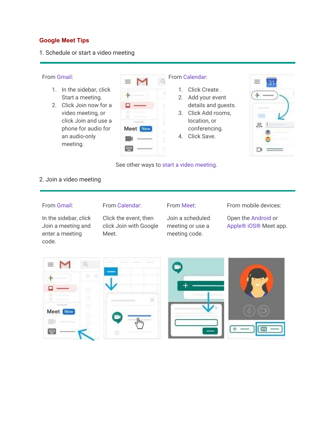#### **Google Meet Tips**

#### 1. Schedule or start a video meeting

#### From [Gmail](https://mail.google.com/):

- 1. In the sidebar, click Start a meeting.
- 2. Click Join now for a video meeting, or click Join and use a phone for audio for an audio-only meeting.

 $\sim$ 

#### From [Calendar:](http://calendar.google.com/)

- 1. Click Create .
- 2. Add your event details and guests.
- 3. Click Add rooms, location, or conferencing.
- 4. Click Save.



See other ways to [start a video meeting.](https://support.google.com/a/users/answer/9302870)

#### 2. Join a video meeting

#### From [Gmail](https://mail.google.com/):

#### From [Calendar](http://calendar.google.com/):

#### In the sidebar, click Join a meeting and enter a meeting code.

Click the event, then click Join with Google Meet.

## From [Meet:](http://meet.google.com/)

Join a scheduled meeting or use a meeting code.

#### From mobile devices:

Open the [Android](https://play.google.com/store/apps/details?id=com.google.android.apps.meetings) or [Apple® iOS®](https://itunes.apple.com/us/app/meet/id1013231476) Meet app.

| $\equiv$               | <b>STATISTICS</b><br>--- | 吸 |   |
|------------------------|--------------------------|---|---|
| ٠                      | ---<br>$\overline{a}$    |   |   |
| 茴<br>П<br>-------<br>m | ×                        |   |   |
| 茴<br>Meet New<br>田     |                          |   |   |
| ■                      |                          |   | Œ |